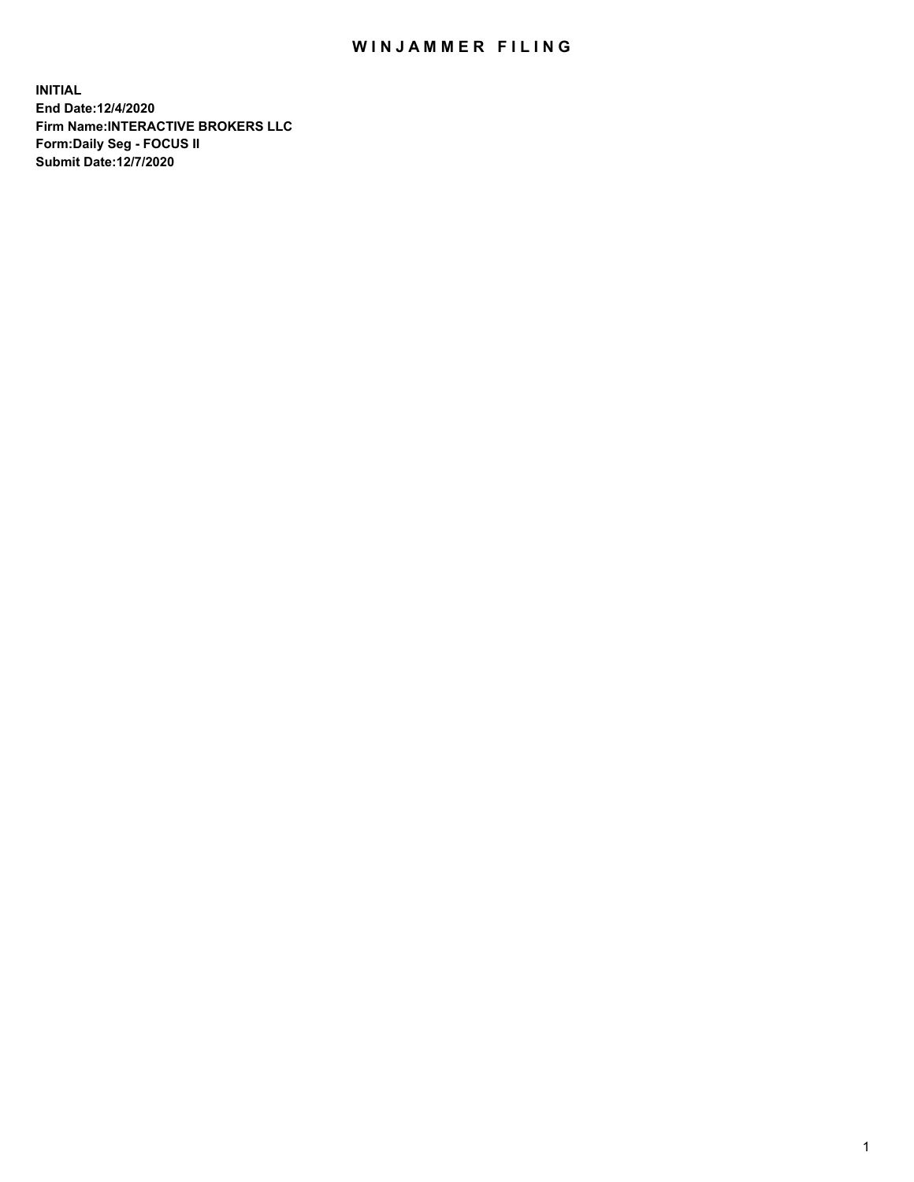## WIN JAMMER FILING

**INITIAL End Date:12/4/2020 Firm Name:INTERACTIVE BROKERS LLC Form:Daily Seg - FOCUS II Submit Date:12/7/2020**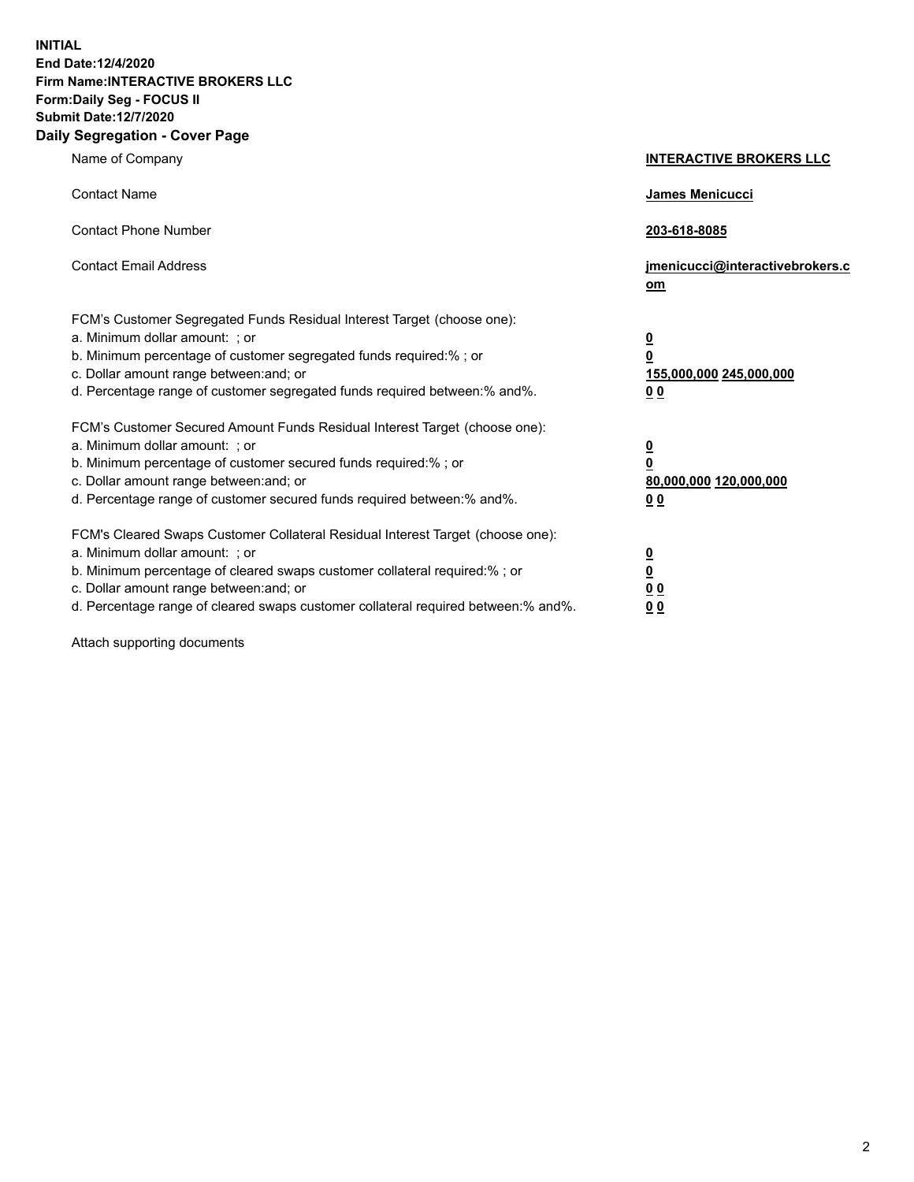**INITIAL End Date:12/4/2020 Firm Name:INTERACTIVE BROKERS LLC Form:Daily Seg - FOCUS II Submit Date:12/7/2020 Daily Segregation - Cover Page**

| Name of Company                                                                                                                                                                                                                                                                                                                | <b>INTERACTIVE BROKERS LLC</b>                                                   |  |
|--------------------------------------------------------------------------------------------------------------------------------------------------------------------------------------------------------------------------------------------------------------------------------------------------------------------------------|----------------------------------------------------------------------------------|--|
| <b>Contact Name</b>                                                                                                                                                                                                                                                                                                            | James Menicucci                                                                  |  |
| <b>Contact Phone Number</b>                                                                                                                                                                                                                                                                                                    | 203-618-8085                                                                     |  |
| <b>Contact Email Address</b>                                                                                                                                                                                                                                                                                                   | jmenicucci@interactivebrokers.c<br>om                                            |  |
| FCM's Customer Segregated Funds Residual Interest Target (choose one):<br>a. Minimum dollar amount: ; or<br>b. Minimum percentage of customer segregated funds required:% ; or<br>c. Dollar amount range between: and; or<br>d. Percentage range of customer segregated funds required between:% and%.                         | <u>0</u><br>$\overline{\mathbf{0}}$<br>155,000,000 245,000,000<br>0 <sub>0</sub> |  |
| FCM's Customer Secured Amount Funds Residual Interest Target (choose one):<br>a. Minimum dollar amount: ; or<br>b. Minimum percentage of customer secured funds required:% ; or<br>c. Dollar amount range between: and; or<br>d. Percentage range of customer secured funds required between:% and%.                           | <u>0</u><br>$\overline{\mathbf{0}}$<br>80,000,000 120,000,000<br>0 <sub>0</sub>  |  |
| FCM's Cleared Swaps Customer Collateral Residual Interest Target (choose one):<br>a. Minimum dollar amount: ; or<br>b. Minimum percentage of cleared swaps customer collateral required:% ; or<br>c. Dollar amount range between: and; or<br>d. Percentage range of cleared swaps customer collateral required between:% and%. | <u>0</u><br>$\underline{\mathbf{0}}$<br>0 <sub>0</sub><br>0 <sub>0</sub>         |  |

Attach supporting documents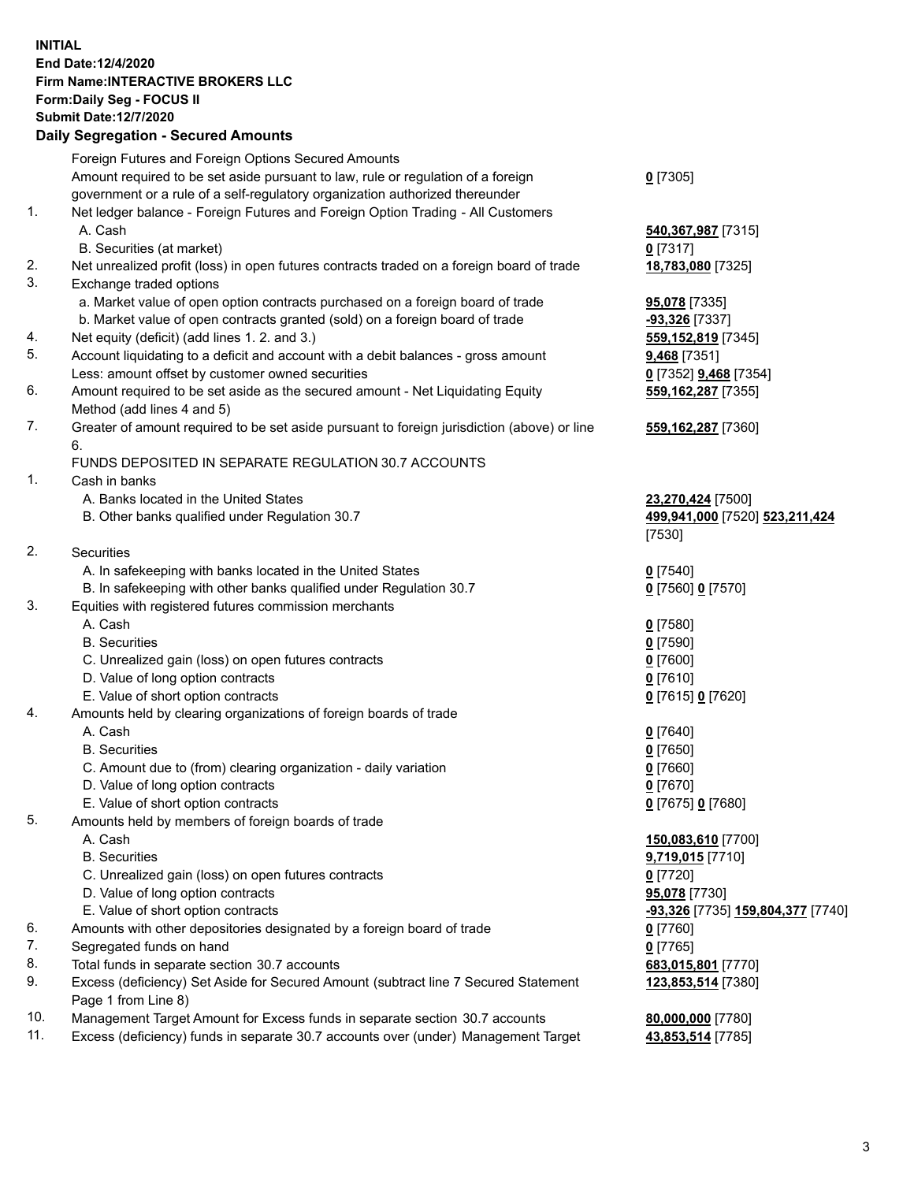**INITIAL End Date:12/4/2020 Firm Name:INTERACTIVE BROKERS LLC Form:Daily Seg - FOCUS II Submit Date:12/7/2020 Daily Segregation - Secured Amounts**

## Foreign Futures and Foreign Options Secured Amounts Amount required to be set aside pursuant to law, rule or regulation of a foreign government or a rule of a self-regulatory organization authorized thereunder **0** [7305] 1. Net ledger balance - Foreign Futures and Foreign Option Trading - All Customers A. Cash **540,367,987** [7315] B. Securities (at market) **0** [7317] 2. Net unrealized profit (loss) in open futures contracts traded on a foreign board of trade **18,783,080** [7325] 3. Exchange traded options a. Market value of open option contracts purchased on a foreign board of trade **95,078** [7335] b. Market value of open contracts granted (sold) on a foreign board of trade **-93,326** [7337] 4. Net equity (deficit) (add lines 1. 2. and 3.) **559,152,819** [7345] 5. Account liquidating to a deficit and account with a debit balances - gross amount **9,468** [7351] Less: amount offset by customer owned securities **0** [7352] **9,468** [7354] 6. Amount required to be set aside as the secured amount - Net Liquidating Equity Method (add lines 4 and 5) **559,162,287** [7355] 7. Greater of amount required to be set aside pursuant to foreign jurisdiction (above) or line 6. **559,162,287** [7360] FUNDS DEPOSITED IN SEPARATE REGULATION 30.7 ACCOUNTS 1. Cash in banks A. Banks located in the United States **23,270,424** [7500] B. Other banks qualified under Regulation 30.7 **499,941,000** [7520] **523,211,424** [7530] 2. Securities A. In safekeeping with banks located in the United States **0** [7540] B. In safekeeping with other banks qualified under Regulation 30.7 **0** [7560] **0** [7570] 3. Equities with registered futures commission merchants A. Cash **0** [7580] B. Securities **0** [7590] C. Unrealized gain (loss) on open futures contracts **0** [7600] D. Value of long option contracts **0** [7610] E. Value of short option contracts **0** [7615] **0** [7620] 4. Amounts held by clearing organizations of foreign boards of trade A. Cash **0** [7640] B. Securities **0** [7650] C. Amount due to (from) clearing organization - daily variation **0** [7660] D. Value of long option contracts **0** [7670] E. Value of short option contracts **0** [7675] **0** [7680] 5. Amounts held by members of foreign boards of trade A. Cash **150,083,610** [7700] B. Securities **9,719,015** [7710] C. Unrealized gain (loss) on open futures contracts **0** [7720] D. Value of long option contracts **95,078** [7730] E. Value of short option contracts **-93,326** [7735] **159,804,377** [7740] 6. Amounts with other depositories designated by a foreign board of trade **0** [7760] 7. Segregated funds on hand **0** [7765] 8. Total funds in separate section 30.7 accounts **683,015,801** [7770] 9. Excess (deficiency) Set Aside for Secured Amount (subtract line 7 Secured Statement Page 1 from Line 8) **123,853,514** [7380] 10. Management Target Amount for Excess funds in separate section 30.7 accounts **80,000,000** [7780] 11. Excess (deficiency) funds in separate 30.7 accounts over (under) Management Target **43,853,514** [7785]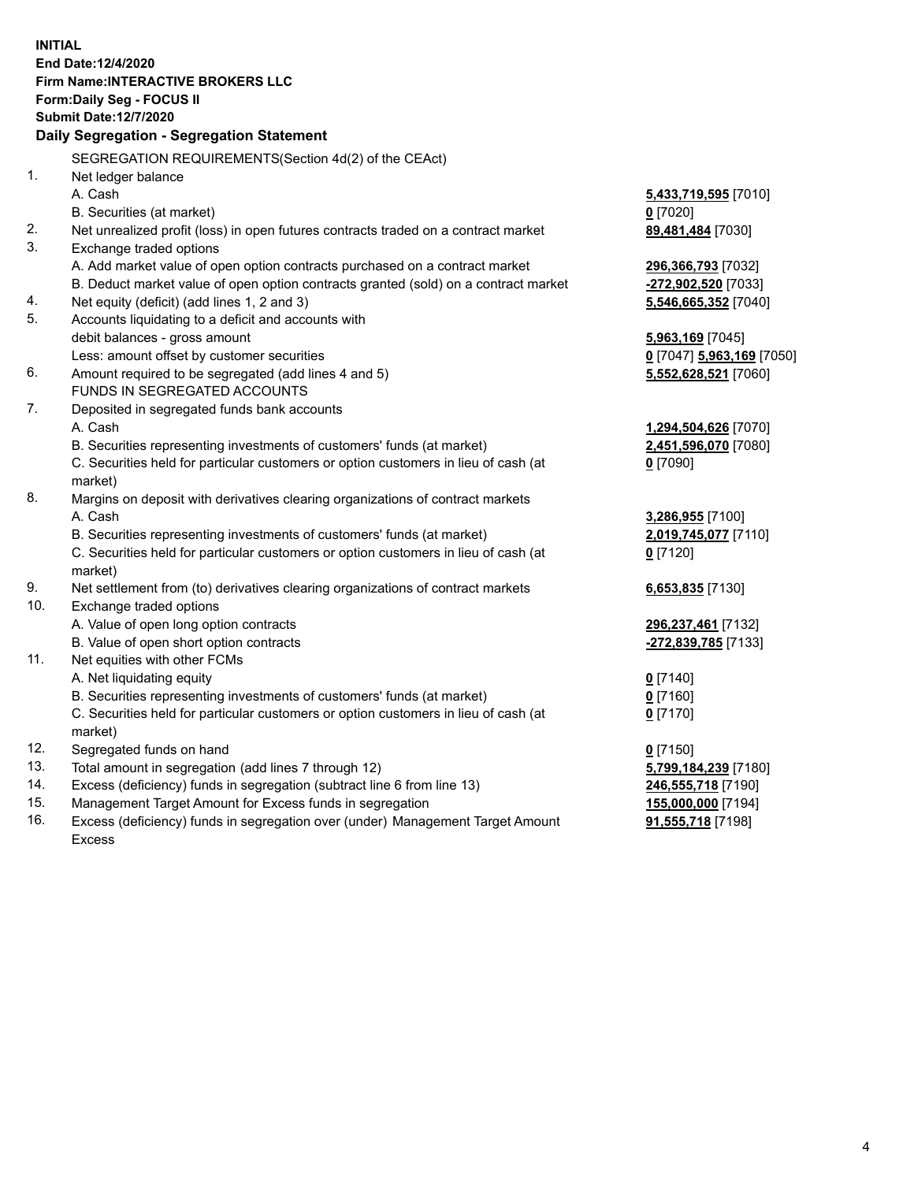**INITIAL End Date:12/4/2020 Firm Name:INTERACTIVE BROKERS LLC Form:Daily Seg - FOCUS II Submit Date:12/7/2020 Daily Segregation - Segregation Statement** SEGREGATION REQUIREMENTS(Section 4d(2) of the CEAct) 1. Net ledger balance A. Cash **5,433,719,595** [7010] B. Securities (at market) **0** [7020] 2. Net unrealized profit (loss) in open futures contracts traded on a contract market **89,481,484** [7030] 3. Exchange traded options A. Add market value of open option contracts purchased on a contract market **296,366,793** [7032] B. Deduct market value of open option contracts granted (sold) on a contract market **-272,902,520** [7033] 4. Net equity (deficit) (add lines 1, 2 and 3) **5,546,665,352** [7040] 5. Accounts liquidating to a deficit and accounts with debit balances - gross amount **5,963,169** [7045] Less: amount offset by customer securities **0** [7047] **5,963,169** [7050] 6. Amount required to be segregated (add lines 4 and 5) **5,552,628,521** [7060] FUNDS IN SEGREGATED ACCOUNTS 7. Deposited in segregated funds bank accounts A. Cash **1,294,504,626** [7070] B. Securities representing investments of customers' funds (at market) **2,451,596,070** [7080] C. Securities held for particular customers or option customers in lieu of cash (at market) **0** [7090] 8. Margins on deposit with derivatives clearing organizations of contract markets A. Cash **3,286,955** [7100] B. Securities representing investments of customers' funds (at market) **2,019,745,077** [7110] C. Securities held for particular customers or option customers in lieu of cash (at market) **0** [7120] 9. Net settlement from (to) derivatives clearing organizations of contract markets **6,653,835** [7130] 10. Exchange traded options A. Value of open long option contracts **296,237,461** [7132] B. Value of open short option contracts **-272,839,785** [7133] 11. Net equities with other FCMs A. Net liquidating equity **0** [7140] B. Securities representing investments of customers' funds (at market) **0** [7160] C. Securities held for particular customers or option customers in lieu of cash (at market) **0** [7170] 12. Segregated funds on hand **0** [7150] 13. Total amount in segregation (add lines 7 through 12) **5,799,184,239** [7180] 14. Excess (deficiency) funds in segregation (subtract line 6 from line 13) **246,555,718** [7190] 15. Management Target Amount for Excess funds in segregation **155,000,000** [7194]

16. Excess (deficiency) funds in segregation over (under) Management Target Amount Excess

**91,555,718** [7198]